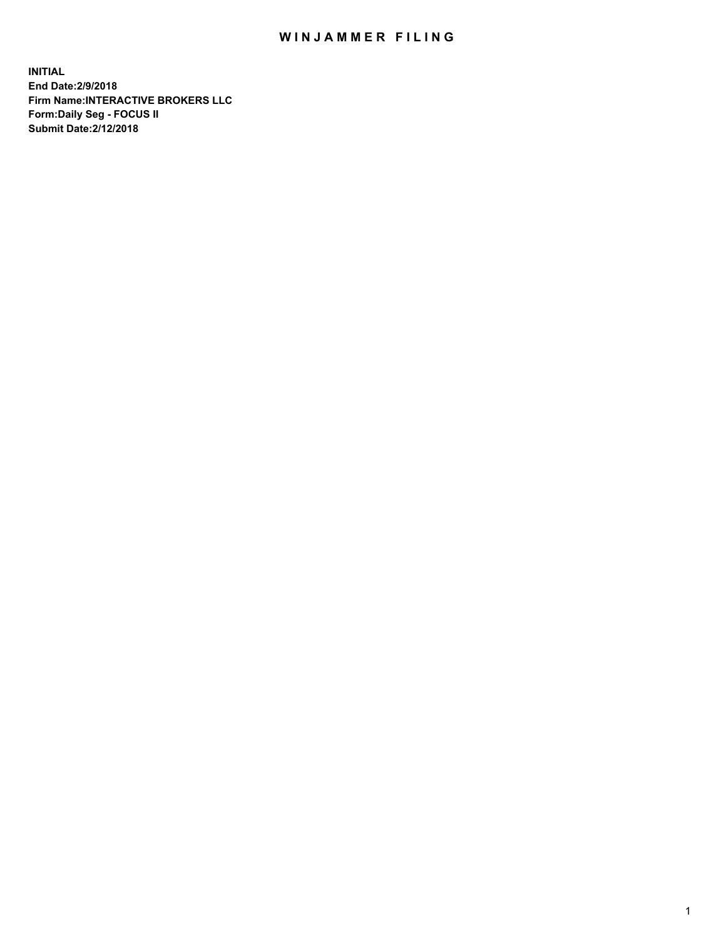## WIN JAMMER FILING

**INITIAL End Date:2/9/2018 Firm Name:INTERACTIVE BROKERS LLC Form:Daily Seg - FOCUS II Submit Date:2/12/2018**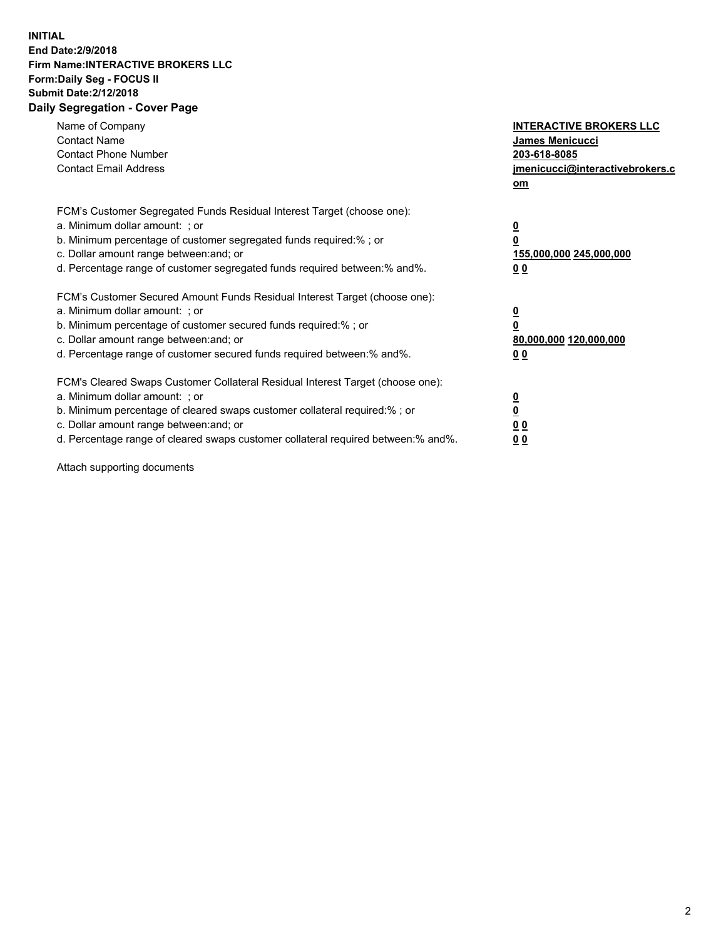## **INITIAL End Date:2/9/2018 Firm Name:INTERACTIVE BROKERS LLC Form:Daily Seg - FOCUS II Submit Date:2/12/2018 Daily Segregation - Cover Page**

| Name of Company<br><b>Contact Name</b><br><b>Contact Phone Number</b><br><b>Contact Email Address</b>                                                                                                                                                                                                                          | <b>INTERACTIVE BROKERS LLC</b><br><b>James Menicucci</b><br>203-618-8085<br>jmenicucci@interactivebrokers.c<br>om |
|--------------------------------------------------------------------------------------------------------------------------------------------------------------------------------------------------------------------------------------------------------------------------------------------------------------------------------|-------------------------------------------------------------------------------------------------------------------|
| FCM's Customer Segregated Funds Residual Interest Target (choose one):<br>a. Minimum dollar amount: ; or<br>b. Minimum percentage of customer segregated funds required:% ; or<br>c. Dollar amount range between: and; or<br>d. Percentage range of customer segregated funds required between: % and %.                       | $\overline{\mathbf{0}}$<br>0<br>155,000,000 245,000,000<br>00                                                     |
| FCM's Customer Secured Amount Funds Residual Interest Target (choose one):<br>a. Minimum dollar amount: ; or<br>b. Minimum percentage of customer secured funds required:%; or<br>c. Dollar amount range between: and; or<br>d. Percentage range of customer secured funds required between: % and %.                          | $\overline{\mathbf{0}}$<br>0<br>80,000,000 120,000,000<br>00                                                      |
| FCM's Cleared Swaps Customer Collateral Residual Interest Target (choose one):<br>a. Minimum dollar amount: ; or<br>b. Minimum percentage of cleared swaps customer collateral required:% ; or<br>c. Dollar amount range between: and; or<br>d. Percentage range of cleared swaps customer collateral required between:% and%. | $\overline{\mathbf{0}}$<br>$\overline{\mathbf{0}}$<br>00<br>0 <sub>0</sub>                                        |

Attach supporting documents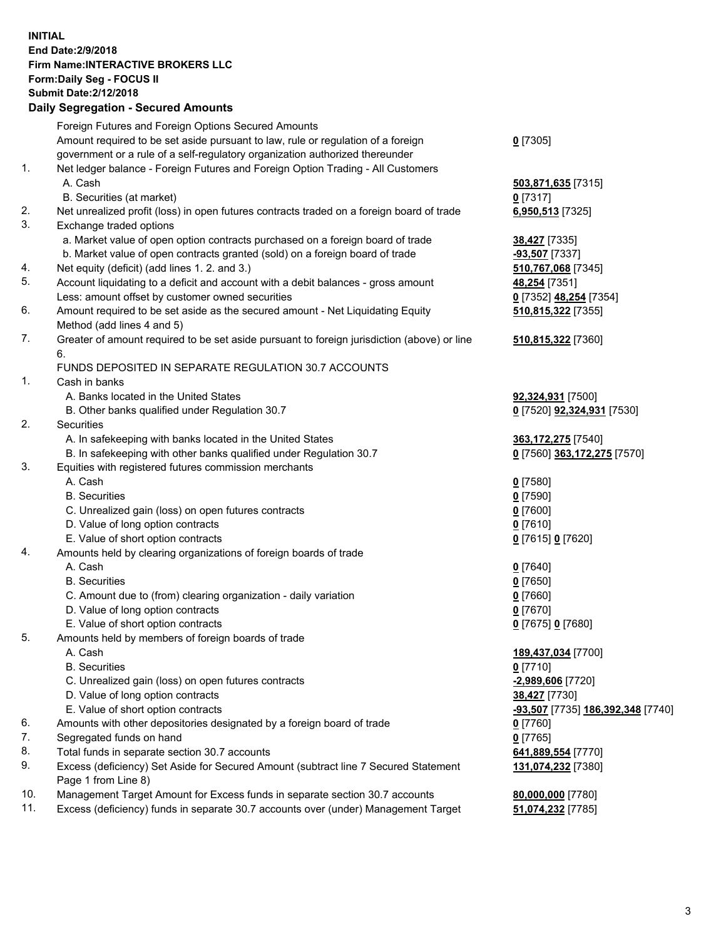## **INITIAL End Date:2/9/2018 Firm Name:INTERACTIVE BROKERS LLC Form:Daily Seg - FOCUS II Submit Date:2/12/2018 Daily Segregation - Secured Amounts**

|                | Daily Segregation - Secured Amounts                                                                        |                                   |
|----------------|------------------------------------------------------------------------------------------------------------|-----------------------------------|
|                | Foreign Futures and Foreign Options Secured Amounts                                                        |                                   |
|                | Amount required to be set aside pursuant to law, rule or regulation of a foreign                           | $0$ [7305]                        |
|                | government or a rule of a self-regulatory organization authorized thereunder                               |                                   |
| $\mathbf{1}$ . | Net ledger balance - Foreign Futures and Foreign Option Trading - All Customers                            |                                   |
|                | A. Cash                                                                                                    | 503,871,635 [7315]                |
|                | B. Securities (at market)                                                                                  | $0$ [7317]                        |
| 2.             | Net unrealized profit (loss) in open futures contracts traded on a foreign board of trade                  | 6,950,513 [7325]                  |
| 3.             | Exchange traded options                                                                                    |                                   |
|                | a. Market value of open option contracts purchased on a foreign board of trade                             | 38,427 [7335]                     |
|                | b. Market value of open contracts granted (sold) on a foreign board of trade                               | $-93,507$ [7337]                  |
| 4.             | Net equity (deficit) (add lines 1.2. and 3.)                                                               | 510,767,068 [7345]                |
| 5.             | Account liquidating to a deficit and account with a debit balances - gross amount                          | 48,254 [7351]                     |
|                | Less: amount offset by customer owned securities                                                           | 0 [7352] 48,254 [7354]            |
| 6.             | Amount required to be set aside as the secured amount - Net Liquidating Equity                             | 510,815,322 [7355]                |
|                | Method (add lines 4 and 5)                                                                                 |                                   |
| 7.             | Greater of amount required to be set aside pursuant to foreign jurisdiction (above) or line                | 510,815,322 [7360]                |
|                | 6.                                                                                                         |                                   |
|                | FUNDS DEPOSITED IN SEPARATE REGULATION 30.7 ACCOUNTS                                                       |                                   |
| 1.             | Cash in banks                                                                                              |                                   |
|                | A. Banks located in the United States                                                                      | 92,324,931 [7500]                 |
|                | B. Other banks qualified under Regulation 30.7                                                             | 0 [7520] 92,324,931 [7530]        |
| 2.             | Securities                                                                                                 |                                   |
|                | A. In safekeeping with banks located in the United States                                                  | 363, 172, 275 [7540]              |
|                | B. In safekeeping with other banks qualified under Regulation 30.7                                         | 0 [7560] 363,172,275 [7570]       |
| 3.             | Equities with registered futures commission merchants                                                      |                                   |
|                | A. Cash                                                                                                    | $0$ [7580]                        |
|                | <b>B.</b> Securities                                                                                       | $0$ [7590]                        |
|                | C. Unrealized gain (loss) on open futures contracts                                                        | $0$ [7600]                        |
|                | D. Value of long option contracts                                                                          | $0$ [7610]                        |
|                | E. Value of short option contracts                                                                         | 0 [7615] 0 [7620]                 |
| 4.             | Amounts held by clearing organizations of foreign boards of trade                                          |                                   |
|                | A. Cash                                                                                                    | $0$ [7640]                        |
|                | <b>B.</b> Securities                                                                                       | $0$ [7650]                        |
|                | C. Amount due to (from) clearing organization - daily variation                                            | $0$ [7660]                        |
|                | D. Value of long option contracts                                                                          | $0$ [7670]                        |
|                | E. Value of short option contracts                                                                         | 0 [7675] 0 [7680]                 |
| 5.             | Amounts held by members of foreign boards of trade                                                         |                                   |
|                | A. Cash                                                                                                    | 189,437,034 [7700]                |
|                | <b>B.</b> Securities                                                                                       | $0$ [7710]                        |
|                | C. Unrealized gain (loss) on open futures contracts                                                        | -2,989,606 [7720]                 |
|                | D. Value of long option contracts                                                                          | 38,427 [7730]                     |
|                | E. Value of short option contracts                                                                         | -93,507 [7735] 186,392,348 [7740] |
| 6.             | Amounts with other depositories designated by a foreign board of trade                                     | $0$ [7760]                        |
| 7.             | Segregated funds on hand                                                                                   | $0$ [7765]                        |
| 8.             | Total funds in separate section 30.7 accounts                                                              | 641,889,554 [7770]                |
| 9.             | Excess (deficiency) Set Aside for Secured Amount (subtract line 7 Secured Statement<br>Page 1 from Line 8) | 131,074,232 [7380]                |
| 10.            | Management Target Amount for Excess funds in separate section 30.7 accounts                                | 80,000,000 [7780]                 |
| 11.            | Excess (deficiency) funds in separate 30.7 accounts over (under) Management Target                         | 51,074,232 [7785]                 |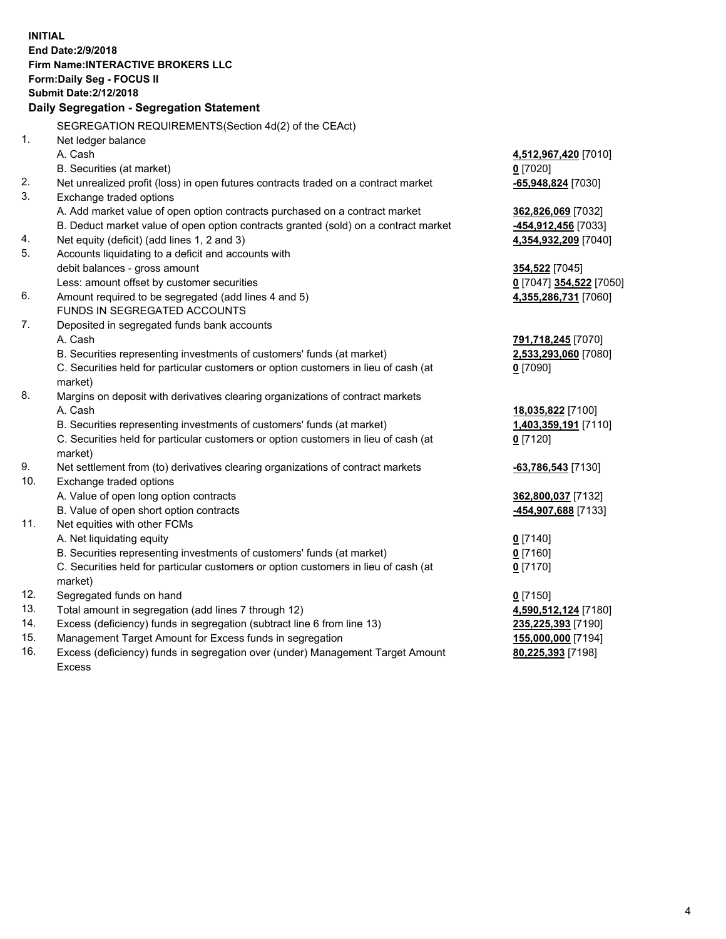**INITIAL End Date:2/9/2018 Firm Name:INTERACTIVE BROKERS LLC Form:Daily Seg - FOCUS II Submit Date:2/12/2018 Daily Segregation - Segregation Statement** SEGREGATION REQUIREMENTS(Section 4d(2) of the CEAct) 1. Net ledger balance A. Cash **4,512,967,420** [7010] B. Securities (at market) **0** [7020] 2. Net unrealized profit (loss) in open futures contracts traded on a contract market **-65,948,824** [7030] 3. Exchange traded options A. Add market value of open option contracts purchased on a contract market **362,826,069** [7032] B. Deduct market value of open option contracts granted (sold) on a contract market **-454,912,456** [7033] 4. Net equity (deficit) (add lines 1, 2 and 3) **4,354,932,209** [7040] 5. Accounts liquidating to a deficit and accounts with debit balances - gross amount **354,522** [7045] Less: amount offset by customer securities **0** [7047] **354,522** [7050] 6. Amount required to be segregated (add lines 4 and 5) **4,355,286,731** [7060] FUNDS IN SEGREGATED ACCOUNTS 7. Deposited in segregated funds bank accounts A. Cash **791,718,245** [7070] B. Securities representing investments of customers' funds (at market) **2,533,293,060** [7080] C. Securities held for particular customers or option customers in lieu of cash (at market) **0** [7090] 8. Margins on deposit with derivatives clearing organizations of contract markets A. Cash **18,035,822** [7100] B. Securities representing investments of customers' funds (at market) **1,403,359,191** [7110] C. Securities held for particular customers or option customers in lieu of cash (at market) **0** [7120] 9. Net settlement from (to) derivatives clearing organizations of contract markets **-63,786,543** [7130] 10. Exchange traded options A. Value of open long option contracts **362,800,037** [7132] B. Value of open short option contracts **-454,907,688** [7133] 11. Net equities with other FCMs A. Net liquidating equity **0** [7140] B. Securities representing investments of customers' funds (at market) **0** [7160] C. Securities held for particular customers or option customers in lieu of cash (at market) **0** [7170] 12. Segregated funds on hand **0** [7150] 13. Total amount in segregation (add lines 7 through 12) **4,590,512,124** [7180] 14. Excess (deficiency) funds in segregation (subtract line 6 from line 13) **235,225,393** [7190] 15. Management Target Amount for Excess funds in segregation **155,000,000** [7194]

16. Excess (deficiency) funds in segregation over (under) Management Target Amount Excess

**80,225,393** [7198]